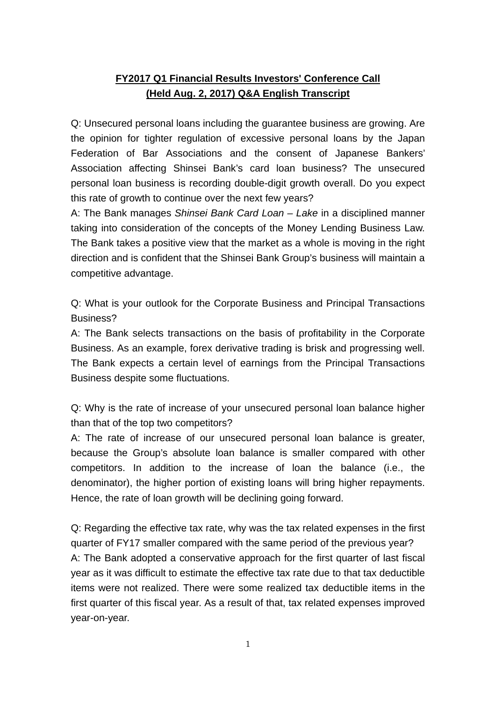## **FY2017 Q1 Financial Results Investors' Conference Call (Held Aug. 2, 2017) Q&A English Transcript**

Q: Unsecured personal loans including the guarantee business are growing. Are the opinion for tighter regulation of excessive personal loans by the Japan Federation of Bar Associations and the consent of Japanese Bankers' Association affecting Shinsei Bank's card loan business? The unsecured personal loan business is recording double-digit growth overall. Do you expect this rate of growth to continue over the next few years?

A: The Bank manages *Shinsei Bank Card Loan – Lake* in a disciplined manner taking into consideration of the concepts of the Money Lending Business Law. The Bank takes a positive view that the market as a whole is moving in the right direction and is confident that the Shinsei Bank Group's business will maintain a competitive advantage.

Q: What is your outlook for the Corporate Business and Principal Transactions Business?

A: The Bank selects transactions on the basis of profitability in the Corporate Business. As an example, forex derivative trading is brisk and progressing well. The Bank expects a certain level of earnings from the Principal Transactions Business despite some fluctuations.

Q: Why is the rate of increase of your unsecured personal loan balance higher than that of the top two competitors?

A: The rate of increase of our unsecured personal loan balance is greater, because the Group's absolute loan balance is smaller compared with other competitors. In addition to the increase of loan the balance (i.e., the denominator), the higher portion of existing loans will bring higher repayments. Hence, the rate of loan growth will be declining going forward.

Q: Regarding the effective tax rate, why was the tax related expenses in the first quarter of FY17 smaller compared with the same period of the previous year? A: The Bank adopted a conservative approach for the first quarter of last fiscal year as it was difficult to estimate the effective tax rate due to that tax deductible items were not realized. There were some realized tax deductible items in the first quarter of this fiscal year. As a result of that, tax related expenses improved year-on-year.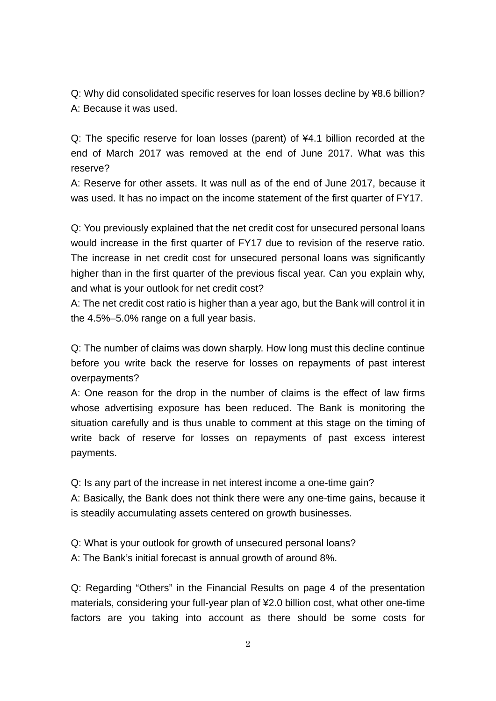Q: Why did consolidated specific reserves for loan losses decline by ¥8.6 billion? A: Because it was used.

Q: The specific reserve for loan losses (parent) of ¥4.1 billion recorded at the end of March 2017 was removed at the end of June 2017. What was this reserve?

A: Reserve for other assets. It was null as of the end of June 2017, because it was used. It has no impact on the income statement of the first quarter of FY17.

Q: You previously explained that the net credit cost for unsecured personal loans would increase in the first quarter of FY17 due to revision of the reserve ratio. The increase in net credit cost for unsecured personal loans was significantly higher than in the first quarter of the previous fiscal year. Can you explain why, and what is your outlook for net credit cost?

A: The net credit cost ratio is higher than a year ago, but the Bank will control it in the 4.5%–5.0% range on a full year basis.

Q: The number of claims was down sharply. How long must this decline continue before you write back the reserve for losses on repayments of past interest overpayments?

A: One reason for the drop in the number of claims is the effect of law firms whose advertising exposure has been reduced. The Bank is monitoring the situation carefully and is thus unable to comment at this stage on the timing of write back of reserve for losses on repayments of past excess interest payments.

Q: Is any part of the increase in net interest income a one-time gain? A: Basically, the Bank does not think there were any one-time gains, because it is steadily accumulating assets centered on growth businesses.

Q: What is your outlook for growth of unsecured personal loans? A: The Bank's initial forecast is annual growth of around 8%.

Q: Regarding "Others" in the Financial Results on page 4 of the presentation materials, considering your full-year plan of ¥2.0 billion cost, what other one-time factors are you taking into account as there should be some costs for